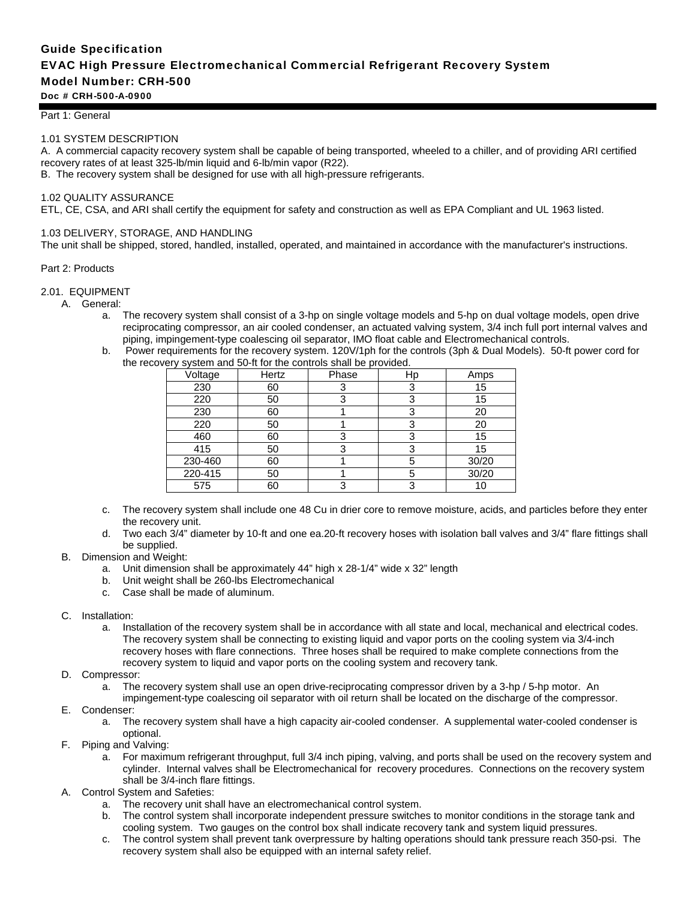# Guide Specification EVAC High Pressure Electromechanical Commercial Refrigerant Recovery System Model Number: CRH-500 Doc # CRH-500-A-0900

#### Part 1: General

### 1.01 SYSTEM DESCRIPTION

A. A commercial capacity recovery system shall be capable of being transported, wheeled to a chiller, and of providing ARI certified recovery rates of at least 325-lb/min liquid and 6-lb/min vapor (R22).

B. The recovery system shall be designed for use with all high-pressure refrigerants.

#### 1.02 QUALITY ASSURANCE

ETL, CE, CSA, and ARI shall certify the equipment for safety and construction as well as EPA Compliant and UL 1963 listed.

#### 1.03 DELIVERY, STORAGE, AND HANDLING

The unit shall be shipped, stored, handled, installed, operated, and maintained in accordance with the manufacturer's instructions.

#### Part 2: Products

#### 2.01. EQUIPMENT

- A. General:
	- a. The recovery system shall consist of a 3-hp on single voltage models and 5-hp on dual voltage models, open drive reciprocating compressor, an air cooled condenser, an actuated valving system, 3/4 inch full port internal valves and piping, impingement-type coalescing oil separator, IMO float cable and Electromechanical controls.
	- b. Power requirements for the recovery system. 120V/1ph for the controls (3ph & Dual Models). 50-ft power cord for the recovery system and 50-ft for the controls shall be provided.

| Voltage | Hertz | Phase | Нp | Amps  |
|---------|-------|-------|----|-------|
| 230     | 60    |       | ≏  | 15    |
| 220     | 50    | 3     | 3  | 15    |
| 230     | 60    |       | 3  | 20    |
| 220     | 50    |       | 3  | 20    |
| 460     | 60    | 3     | 3  | 15    |
| 415     | 50    |       | 3  | 15    |
| 230-460 | 60    |       | 5  | 30/20 |
| 220-415 | 50    |       | 5  | 30/20 |
| 575     | 60    | ≏     | 3  | 10    |

- c. The recovery system shall include one 48 Cu in drier core to remove moisture, acids, and particles before they enter the recovery unit.
- d. Two each 3/4" diameter by 10-ft and one ea.20-ft recovery hoses with isolation ball valves and 3/4" flare fittings shall be supplied.

#### B. Dimension and Weight:

- a. Unit dimension shall be approximately 44" high x 28-1/4" wide x 32" length
- b. Unit weight shall be 260-lbs Electromechanical
- c. Case shall be made of aluminum.
- C. Installation:
	- a. Installation of the recovery system shall be in accordance with all state and local, mechanical and electrical codes. The recovery system shall be connecting to existing liquid and vapor ports on the cooling system via 3/4-inch recovery hoses with flare connections. Three hoses shall be required to make complete connections from the recovery system to liquid and vapor ports on the cooling system and recovery tank.
- D. Compressor:
	- a. The recovery system shall use an open drive-reciprocating compressor driven by a 3-hp / 5-hp motor. An
	- impingement-type coalescing oil separator with oil return shall be located on the discharge of the compressor.
- E. Condenser:
	- a. The recovery system shall have a high capacity air-cooled condenser. A supplemental water-cooled condenser is optional.
- F. Piping and Valving:
	- a. For maximum refrigerant throughput, full 3/4 inch piping, valving, and ports shall be used on the recovery system and cylinder. Internal valves shall be Electromechanical for recovery procedures. Connections on the recovery system shall be 3/4-inch flare fittings.
- A. Control System and Safeties:
	- a. The recovery unit shall have an electromechanical control system.
	- b. The control system shall incorporate independent pressure switches to monitor conditions in the storage tank and cooling system. Two gauges on the control box shall indicate recovery tank and system liquid pressures.
	- c. The control system shall prevent tank overpressure by halting operations should tank pressure reach 350-psi. The recovery system shall also be equipped with an internal safety relief.